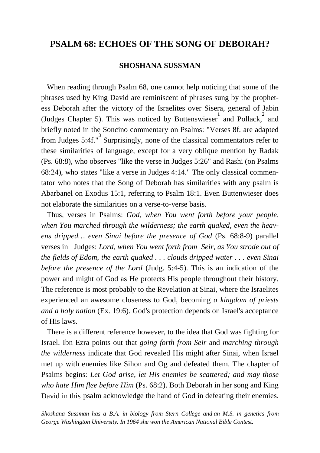## **PSALM 68: ECHOES OF THE SONG OF DEBORAH?**

#### **SHOSHANA SUSSMAN**

 When reading through Psalm 68, one cannot help noticing that some of the phrases used by King David are reminiscent of phrases sung by the prophetess Deborah after the victory of the Israelites over Sisera, general of Jabin (Judges Chapter 5). This was noticed by Buttenswieser  $\frac{1}{2}$  and Pollack, and briefly noted in the Soncino commentary on Psalms: "Verses 8f. are adapted from Judges 5:4f."<sup>3</sup> Surprisingly, none of the classical commentators refer to these similarities of language, except for a very oblique mention by Radak (Ps. 68:8), who observes "like the verse in Judges 5:26" and Rashi (on Psalms 68:24), who states "like a verse in Judges 4:14." The only classical commentator who notes that the Song of Deborah has similarities with any psalm is Abarbanel on Exodus 15:1, referring to Psalm 18:1. Even Buttenwieser does not elaborate the similarities on a verse-to-verse basis.

 Thus, verses in Psalms: *God, when You went forth before your people, when You marched through the wilderness; the earth quaked, even the heavens dripped… even Sinai before the presence of God* (Ps. 68:8-9) parallel verses in Judges: *Lord, when You went forth from Seir, as You strode out of the fields of Edom, the earth quaked . . . clouds dripped water . . . even Sinai before the presence of the Lord* (Judg. 5:4-5). This is an indication of the power and might of God as He protects His people throughout their history. The reference is most probably to the Revelation at Sinai, where the Israelites experienced an awesome closeness to God, becoming *a kingdom of priests and a holy nation* (Ex. 19:6). God's protection depends on Israel's acceptance of His laws.

 There is a different reference however, to the idea that God was fighting for Israel. Ibn Ezra points out that *going forth from Seir* and *marching through the wilderness* indicate that God revealed His might after Sinai, when Israel met up with enemies like Sihon and Og and defeated them. The chapter of Psalms begins: *Let God arise, let His enemies be scattered; and may those who hate Him flee before Him* (Ps. 68:2). Both Deborah in her song and King David in this psalm acknowledge the hand of God in defeating their enemies.

*Shoshana Sussman has a B.A. in biology from Stern College and an M.S. in genetics from George Washington University. In 1964 she won the American National Bible Contest.*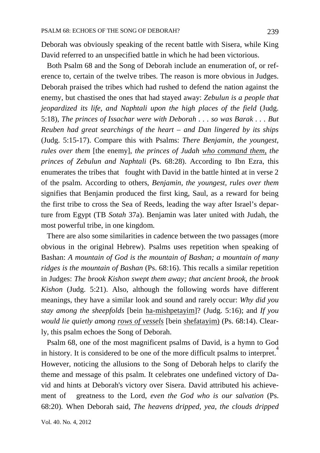Deborah was obviously speaking of the recent battle with Sisera, while King David referred to an unspecified battle in which he had been victorious.

 Both Psalm 68 and the Song of Deborah include an enumeration of, or reference to, certain of the twelve tribes. The reason is more obvious in Judges. Deborah praised the tribes which had rushed to defend the nation against the enemy, but chastised the ones that had stayed away: *Zebulun is a people that jeopardized its life, and Naphtali upon the high places of the field* (Judg. 5:18), *The princes of Issachar were with Deborah . . . so was Barak . . . But Reuben had great searchings of the heart – and Dan lingered by its ships* (Judg. 5:15-17). Compare this with Psalms: *There Benjamin, the youngest, rules over them* [the enemy], *the princes of Judah who command them, the princes of Zebulun and Naphtali* (Ps. 68:28). According to Ibn Ezra, this enumerates the tribes that fought with David in the battle hinted at in verse 2 of the psalm. According to others, *Benjamin, the youngest, rules over them* signifies that Benjamin produced the first king, Saul, as a reward for being the first tribe to cross the Sea of Reeds, leading the way after Israel's departure from Egypt (TB *Sotah* 37a). Benjamin was later united with Judah, the most powerful tribe, in one kingdom.

 There are also some similarities in cadence between the two passages (more obvious in the original Hebrew). Psalms uses repetition when speaking of Bashan: *A mountain of God is the mountain of Bashan; a mountain of many ridges is the mountain of Bashan* (Ps. 68:16). This recalls a similar repetition in Judges: *The brook Kishon swept them away; that ancient brook, the brook Kishon* (Judg. 5:21). Also, although the following words have different meanings, they have a similar look and sound and rarely occur: *Why did you stay among the sheepfolds* [bein ha-mishpetayim]? (Judg. 5:16); and *If you would lie quietly among rows of vessels* [bein shefatayim) (Ps. 68:14). Clearly, this psalm echoes the Song of Deborah.

 Psalm 68, one of the most magnificent psalms of David, is a hymn to God in history. It is considered to be one of the more difficult psalms to interpret.<sup>4</sup> However, noticing the allusions to the Song of Deborah helps to clarify the theme and message of this psalm. It celebrates one undefined victory of David and hints at Deborah's victory over Sisera. David attributed his achievement of greatness to the Lord, *even the God who is our salvation* (Ps. 68:20). When Deborah said, *The heavens dripped, yea, the clouds dripped*